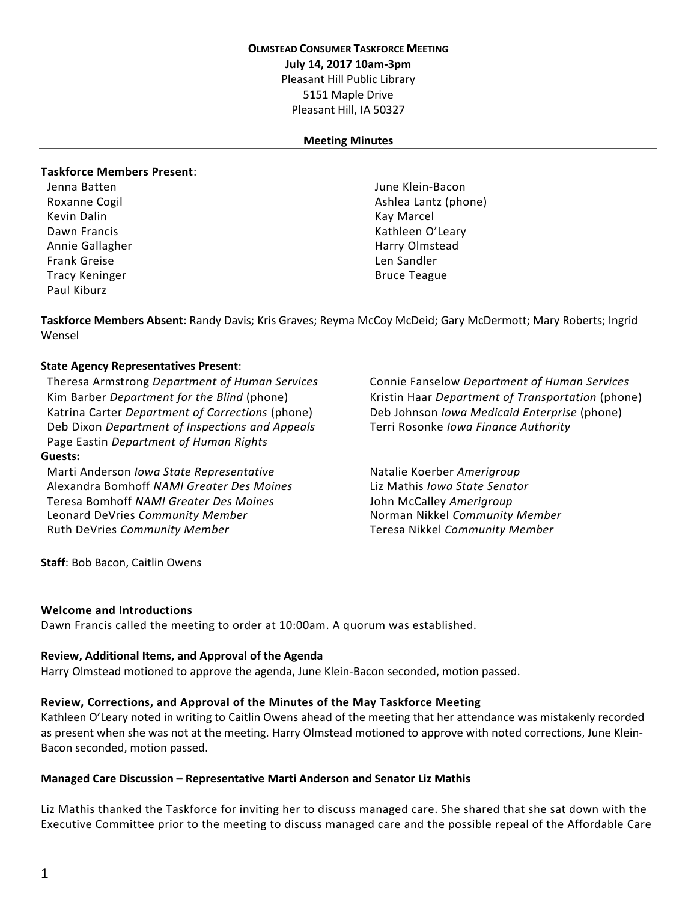### **OLMSTEAD CONSUMER TASKFORCE MEETING**

**July 14, 2017 10am-3pm**

Pleasant Hill Public Library

5151 Maple Drive Pleasant Hill, IA 50327

## **Meeting Minutes**

## **Taskforce Members Present**:

Kevin Dalin Kay Marcel (Kay Marcel and Kay Marcel and Kay Marcel and Kay Marcel and Kay Marcel and Kay Marcel Annie Gallagher **Harry Olmstead** Harry Olmstead Frank Greise Len Sandler Len Sandler Len Sandler Tracy Keninger **Bruce Teague Bruce Teague Bruce Teague** Paul Kiburz

Jenna Batten June Klein-Bacon Roxanne Cogil **Ashlea Lantz** (phone) **Ashlea Lantz** (phone) Dawn Francis **Kathleen O'Leary** Kathleen O'Leary

**Taskforce Members Absent**: Randy Davis; Kris Graves; Reyma McCoy McDeid; Gary McDermott; Mary Roberts; Ingrid Wensel

## **State Agency Representatives Present**:

Theresa Armstrong *Department of Human Services* Kim Barber Department for the Blind (phone) Katrina Carter *Department of Corrections* (phone) Deb Johnson *Iowa Medicaid Enterprise* (phone) Deb Dixon *Department of Inspections and Appeals* Terri Rosonke *Iowa Finance Authority* Page Eastin *Department of Human Rights* **Guests:**

Marti Anderson *Iowa State Representative* Natalie Koerber *Amerigroup* Alexandra Bomhoff *NAMI Greater Des Moines* Liz Mathis *Iowa State Senator* Teresa Bomhoff *NAMI Greater Des Moines* John McCalley *Amerigroup* Leonard DeVries *Community Member* Norman Nikkel *Community Member* Ruth DeVries *Community Member* Teresa Nikkel *Community Member*

Connie Fanselow *Department of Human Services* Kristin Haar *Department* of *Transportation* (phone)

**Staff**: Bob Bacon, Caitlin Owens

## **Welcome and Introductions**

Dawn Francis called the meeting to order at 10:00am. A quorum was established.

#### **Review, Additional Items, and Approval of the Agenda**

Harry Olmstead motioned to approve the agenda, June Klein-Bacon seconded, motion passed.

## **Review, Corrections, and Approval of the Minutes of the May Taskforce Meeting**

Kathleen O'Leary noted in writing to Caitlin Owens ahead of the meeting that her attendance was mistakenly recorded as present when she was not at the meeting. Harry Olmstead motioned to approve with noted corrections, June Klein-Bacon seconded, motion passed.

#### **Managed Care Discussion – Representative Marti Anderson and Senator Liz Mathis**

Liz Mathis thanked the Taskforce for inviting her to discuss managed care. She shared that she sat down with the Executive Committee prior to the meeting to discuss managed care and the possible repeal of the Affordable Care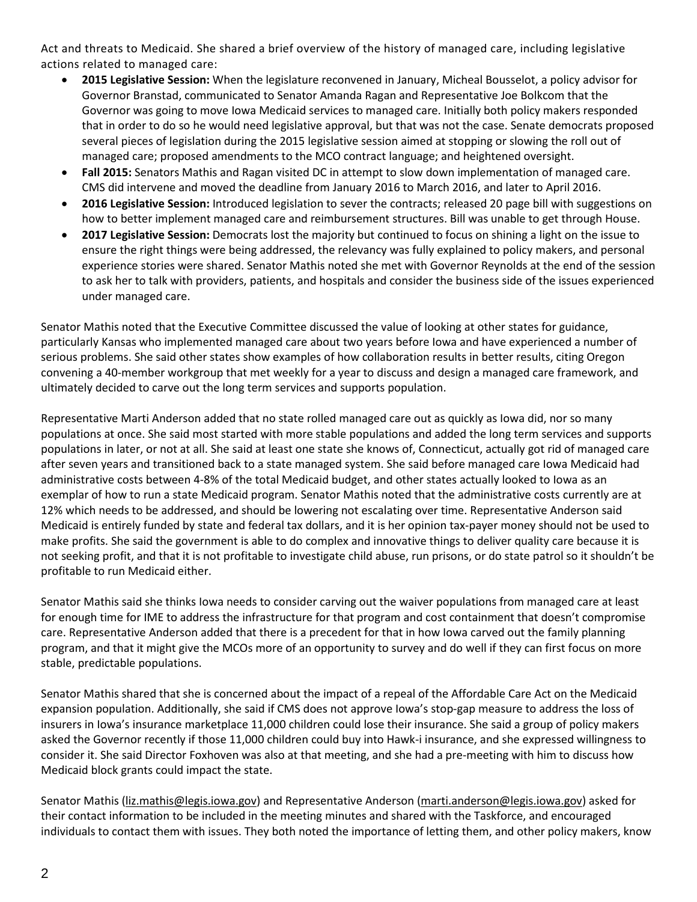Act and threats to Medicaid. She shared a brief overview of the history of managed care, including legislative actions related to managed care:

- **2015 Legislative Session:** When the legislature reconvened in January, Micheal Bousselot, a policy advisor for Governor Branstad, communicated to Senator Amanda Ragan and Representative Joe Bolkcom that the Governor was going to move Iowa Medicaid services to managed care. Initially both policy makers responded that in order to do so he would need legislative approval, but that was not the case. Senate democrats proposed several pieces of legislation during the 2015 legislative session aimed at stopping or slowing the roll out of managed care; proposed amendments to the MCO contract language; and heightened oversight.
- **Fall 2015:** Senators Mathis and Ragan visited DC in attempt to slow down implementation of managed care. CMS did intervene and moved the deadline from January 2016 to March 2016, and later to April 2016.
- **2016 Legislative Session:** Introduced legislation to sever the contracts; released 20 page bill with suggestions on how to better implement managed care and reimbursement structures. Bill was unable to get through House.
- **2017 Legislative Session:** Democrats lost the majority but continued to focus on shining a light on the issue to ensure the right things were being addressed, the relevancy was fully explained to policy makers, and personal experience stories were shared. Senator Mathis noted she met with Governor Reynolds at the end of the session to ask her to talk with providers, patients, and hospitals and consider the business side of the issues experienced under managed care.

Senator Mathis noted that the Executive Committee discussed the value of looking at other states for guidance, particularly Kansas who implemented managed care about two years before Iowa and have experienced a number of serious problems. She said other states show examples of how collaboration results in better results, citing Oregon convening a 40-member workgroup that met weekly for a year to discuss and design a managed care framework, and ultimately decided to carve out the long term services and supports population.

Representative Marti Anderson added that no state rolled managed care out as quickly as Iowa did, nor so many populations at once. She said most started with more stable populations and added the long term services and supports populations in later, or not at all. She said at least one state she knows of, Connecticut, actually got rid of managed care after seven years and transitioned back to a state managed system. She said before managed care Iowa Medicaid had administrative costs between 4-8% of the total Medicaid budget, and other states actually looked to Iowa as an exemplar of how to run a state Medicaid program. Senator Mathis noted that the administrative costs currently are at 12% which needs to be addressed, and should be lowering not escalating over time. Representative Anderson said Medicaid is entirely funded by state and federal tax dollars, and it is her opinion tax-payer money should not be used to make profits. She said the government is able to do complex and innovative things to deliver quality care because it is not seeking profit, and that it is not profitable to investigate child abuse, run prisons, or do state patrol so it shouldn't be profitable to run Medicaid either.

Senator Mathis said she thinks Iowa needs to consider carving out the waiver populations from managed care at least for enough time for IME to address the infrastructure for that program and cost containment that doesn't compromise care. Representative Anderson added that there is a precedent for that in how Iowa carved out the family planning program, and that it might give the MCOs more of an opportunity to survey and do well if they can first focus on more stable, predictable populations.

Senator Mathis shared that she is concerned about the impact of a repeal of the Affordable Care Act on the Medicaid expansion population. Additionally, she said if CMS does not approve Iowa's stop-gap measure to address the loss of insurers in Iowa's insurance marketplace 11,000 children could lose their insurance. She said a group of policy makers asked the Governor recently if those 11,000 children could buy into Hawk-i insurance, and she expressed willingness to consider it. She said Director Foxhoven was also at that meeting, and she had a pre-meeting with him to discuss how Medicaid block grants could impact the state.

Senator Mathis [\(liz.mathis@legis.iowa.gov\)](mailto:liz.mathis@legis.iowa.gov) and Representative Anderson [\(marti.anderson@legis.iowa.gov\)](mailto:marti.anderson@legis.iowa.gov) asked for their contact information to be included in the meeting minutes and shared with the Taskforce, and encouraged individuals to contact them with issues. They both noted the importance of letting them, and other policy makers, know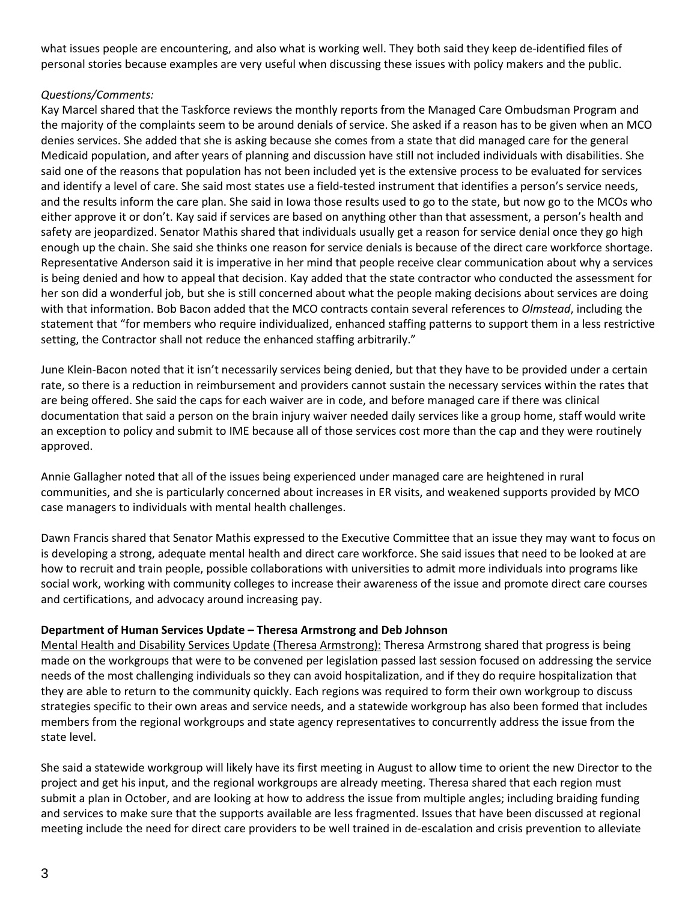what issues people are encountering, and also what is working well. They both said they keep de-identified files of personal stories because examples are very useful when discussing these issues with policy makers and the public.

# *Questions/Comments:*

Kay Marcel shared that the Taskforce reviews the monthly reports from the Managed Care Ombudsman Program and the majority of the complaints seem to be around denials of service. She asked if a reason has to be given when an MCO denies services. She added that she is asking because she comes from a state that did managed care for the general Medicaid population, and after years of planning and discussion have still not included individuals with disabilities. She said one of the reasons that population has not been included yet is the extensive process to be evaluated for services and identify a level of care. She said most states use a field-tested instrument that identifies a person's service needs, and the results inform the care plan. She said in Iowa those results used to go to the state, but now go to the MCOs who either approve it or don't. Kay said if services are based on anything other than that assessment, a person's health and safety are jeopardized. Senator Mathis shared that individuals usually get a reason for service denial once they go high enough up the chain. She said she thinks one reason for service denials is because of the direct care workforce shortage. Representative Anderson said it is imperative in her mind that people receive clear communication about why a services is being denied and how to appeal that decision. Kay added that the state contractor who conducted the assessment for her son did a wonderful job, but she is still concerned about what the people making decisions about services are doing with that information. Bob Bacon added that the MCO contracts contain several references to *Olmstead*, including the statement that "for members who require individualized, enhanced staffing patterns to support them in a less restrictive setting, the Contractor shall not reduce the enhanced staffing arbitrarily."

June Klein-Bacon noted that it isn't necessarily services being denied, but that they have to be provided under a certain rate, so there is a reduction in reimbursement and providers cannot sustain the necessary services within the rates that are being offered. She said the caps for each waiver are in code, and before managed care if there was clinical documentation that said a person on the brain injury waiver needed daily services like a group home, staff would write an exception to policy and submit to IME because all of those services cost more than the cap and they were routinely approved.

Annie Gallagher noted that all of the issues being experienced under managed care are heightened in rural communities, and she is particularly concerned about increases in ER visits, and weakened supports provided by MCO case managers to individuals with mental health challenges.

Dawn Francis shared that Senator Mathis expressed to the Executive Committee that an issue they may want to focus on is developing a strong, adequate mental health and direct care workforce. She said issues that need to be looked at are how to recruit and train people, possible collaborations with universities to admit more individuals into programs like social work, working with community colleges to increase their awareness of the issue and promote direct care courses and certifications, and advocacy around increasing pay.

## **Department of Human Services Update – Theresa Armstrong and Deb Johnson**

Mental Health and Disability Services Update (Theresa Armstrong): Theresa Armstrong shared that progress is being made on the workgroups that were to be convened per legislation passed last session focused on addressing the service needs of the most challenging individuals so they can avoid hospitalization, and if they do require hospitalization that they are able to return to the community quickly. Each regions was required to form their own workgroup to discuss strategies specific to their own areas and service needs, and a statewide workgroup has also been formed that includes members from the regional workgroups and state agency representatives to concurrently address the issue from the state level.

She said a statewide workgroup will likely have its first meeting in August to allow time to orient the new Director to the project and get his input, and the regional workgroups are already meeting. Theresa shared that each region must submit a plan in October, and are looking at how to address the issue from multiple angles; including braiding funding and services to make sure that the supports available are less fragmented. Issues that have been discussed at regional meeting include the need for direct care providers to be well trained in de-escalation and crisis prevention to alleviate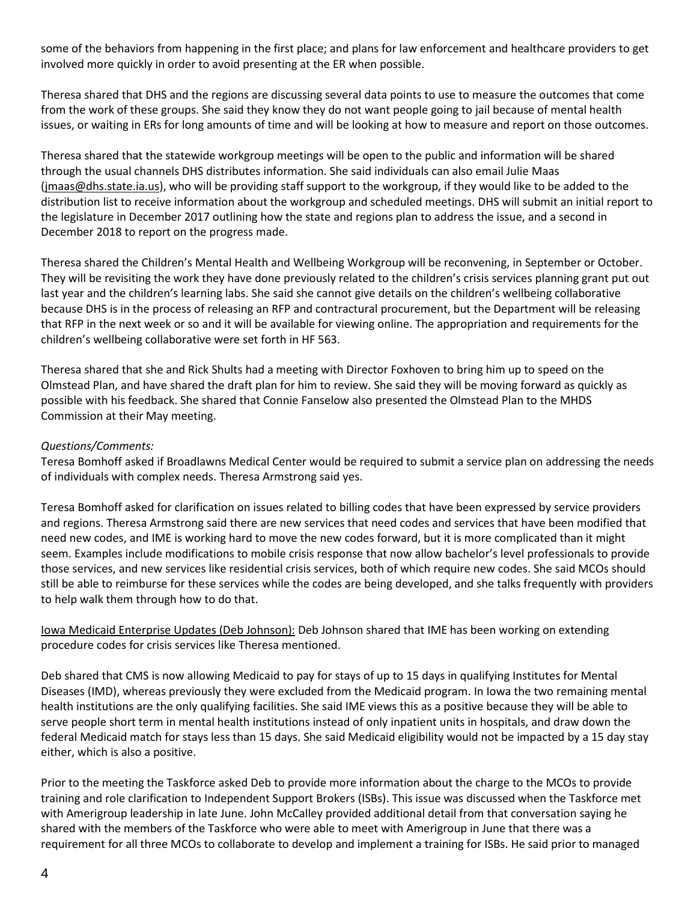some of the behaviors from happening in the first place; and plans for law enforcement and healthcare providers to get involved more quickly in order to avoid presenting at the ER when possible.

Theresa shared that DHS and the regions are discussing several data points to use to measure the outcomes that come from the work of these groups. She said they know they do not want people going to jail because of mental health issues, or waiting in ERs for long amounts of time and will be looking at how to measure and report on those outcomes.

Theresa shared that the statewide workgroup meetings will be open to the public and information will be shared through the usual channels DHS distributes information. She said individuals can also email Julie Maas [\(jmaas@dhs.state.ia.us\)](mailto:jmaas@dhs.state.ia.us), who will be providing staff support to the workgroup, if they would like to be added to the distribution list to receive information about the workgroup and scheduled meetings. DHS will submit an initial report to the legislature in December 2017 outlining how the state and regions plan to address the issue, and a second in December 2018 to report on the progress made.

Theresa shared the Children's Mental Health and Wellbeing Workgroup will be reconvening, in September or October. They will be revisiting the work they have done previously related to the children's crisis services planning grant put out last year and the children's learning labs. She said she cannot give details on the children's wellbeing collaborative because DHS is in the process of releasing an RFP and contractural procurement, but the Department will be releasing that RFP in the next week or so and it will be available for viewing online. The appropriation and requirements for the children's wellbeing collaborative were set forth in HF 563.

Theresa shared that she and Rick Shults had a meeting with Director Foxhoven to bring him up to speed on the Olmstead Plan, and have shared the draft plan for him to review. She said they will be moving forward as quickly as possible with his feedback. She shared that Connie Fanselow also presented the Olmstead Plan to the MHDS Commission at their May meeting.

## *Questions/Comments:*

Teresa Bomhoff asked if Broadlawns Medical Center would be required to submit a service plan on addressing the needs of individuals with complex needs. Theresa Armstrong said yes.

Teresa Bomhoff asked for clarification on issues related to billing codes that have been expressed by service providers and regions. Theresa Armstrong said there are new services that need codes and services that have been modified that need new codes, and IME is working hard to move the new codes forward, but it is more complicated than it might seem. Examples include modifications to mobile crisis response that now allow bachelor's level professionals to provide those services, and new services like residential crisis services, both of which require new codes. She said MCOs should still be able to reimburse for these services while the codes are being developed, and she talks frequently with providers to help walk them through how to do that.

Iowa Medicaid Enterprise Updates (Deb Johnson): Deb Johnson shared that IME has been working on extending procedure codes for crisis services like Theresa mentioned.

Deb shared that CMS is now allowing Medicaid to pay for stays of up to 15 days in qualifying Institutes for Mental Diseases (IMD), whereas previously they were excluded from the Medicaid program. In Iowa the two remaining mental health institutions are the only qualifying facilities. She said IME views this as a positive because they will be able to serve people short term in mental health institutions instead of only inpatient units in hospitals, and draw down the federal Medicaid match for stays less than 15 days. She said Medicaid eligibility would not be impacted by a 15 day stay either, which is also a positive.

Prior to the meeting the Taskforce asked Deb to provide more information about the charge to the MCOs to provide training and role clarification to Independent Support Brokers (ISBs). This issue was discussed when the Taskforce met with Amerigroup leadership in late June. John McCalley provided additional detail from that conversation saying he shared with the members of the Taskforce who were able to meet with Amerigroup in June that there was a requirement for all three MCOs to collaborate to develop and implement a training for ISBs. He said prior to managed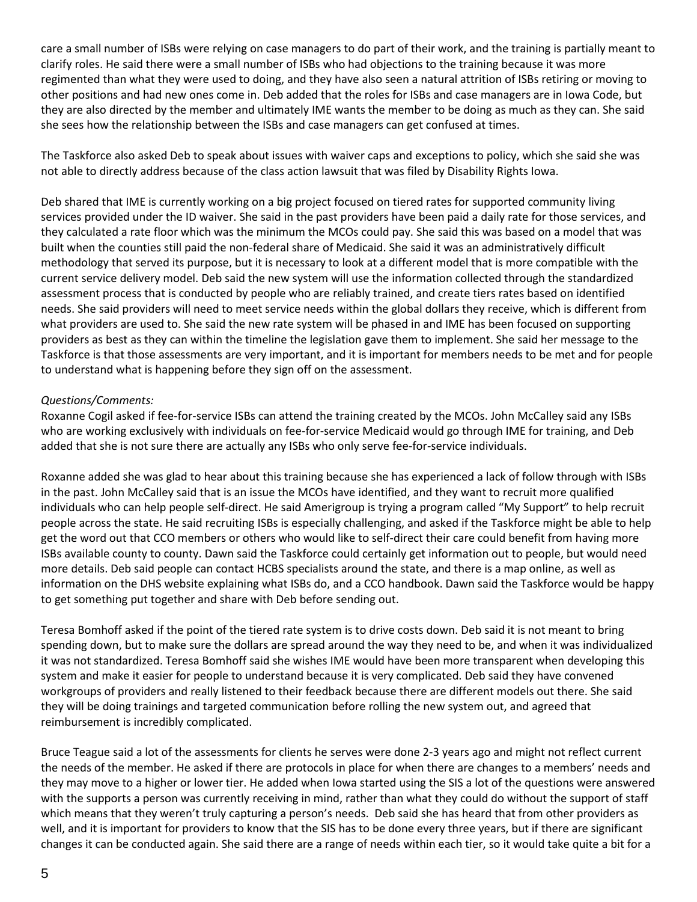care a small number of ISBs were relying on case managers to do part of their work, and the training is partially meant to clarify roles. He said there were a small number of ISBs who had objections to the training because it was more regimented than what they were used to doing, and they have also seen a natural attrition of ISBs retiring or moving to other positions and had new ones come in. Deb added that the roles for ISBs and case managers are in Iowa Code, but they are also directed by the member and ultimately IME wants the member to be doing as much as they can. She said she sees how the relationship between the ISBs and case managers can get confused at times.

The Taskforce also asked Deb to speak about issues with waiver caps and exceptions to policy, which she said she was not able to directly address because of the class action lawsuit that was filed by Disability Rights Iowa.

Deb shared that IME is currently working on a big project focused on tiered rates for supported community living services provided under the ID waiver. She said in the past providers have been paid a daily rate for those services, and they calculated a rate floor which was the minimum the MCOs could pay. She said this was based on a model that was built when the counties still paid the non-federal share of Medicaid. She said it was an administratively difficult methodology that served its purpose, but it is necessary to look at a different model that is more compatible with the current service delivery model. Deb said the new system will use the information collected through the standardized assessment process that is conducted by people who are reliably trained, and create tiers rates based on identified needs. She said providers will need to meet service needs within the global dollars they receive, which is different from what providers are used to. She said the new rate system will be phased in and IME has been focused on supporting providers as best as they can within the timeline the legislation gave them to implement. She said her message to the Taskforce is that those assessments are very important, and it is important for members needs to be met and for people to understand what is happening before they sign off on the assessment.

# *Questions/Comments:*

Roxanne Cogil asked if fee-for-service ISBs can attend the training created by the MCOs. John McCalley said any ISBs who are working exclusively with individuals on fee-for-service Medicaid would go through IME for training, and Deb added that she is not sure there are actually any ISBs who only serve fee-for-service individuals.

Roxanne added she was glad to hear about this training because she has experienced a lack of follow through with ISBs in the past. John McCalley said that is an issue the MCOs have identified, and they want to recruit more qualified individuals who can help people self-direct. He said Amerigroup is trying a program called "My Support" to help recruit people across the state. He said recruiting ISBs is especially challenging, and asked if the Taskforce might be able to help get the word out that CCO members or others who would like to self-direct their care could benefit from having more ISBs available county to county. Dawn said the Taskforce could certainly get information out to people, but would need more details. Deb said people can contact HCBS specialists around the state, and there is a map online, as well as information on the DHS website explaining what ISBs do, and a CCO handbook. Dawn said the Taskforce would be happy to get something put together and share with Deb before sending out.

Teresa Bomhoff asked if the point of the tiered rate system is to drive costs down. Deb said it is not meant to bring spending down, but to make sure the dollars are spread around the way they need to be, and when it was individualized it was not standardized. Teresa Bomhoff said she wishes IME would have been more transparent when developing this system and make it easier for people to understand because it is very complicated. Deb said they have convened workgroups of providers and really listened to their feedback because there are different models out there. She said they will be doing trainings and targeted communication before rolling the new system out, and agreed that reimbursement is incredibly complicated.

Bruce Teague said a lot of the assessments for clients he serves were done 2-3 years ago and might not reflect current the needs of the member. He asked if there are protocols in place for when there are changes to a members' needs and they may move to a higher or lower tier. He added when Iowa started using the SIS a lot of the questions were answered with the supports a person was currently receiving in mind, rather than what they could do without the support of staff which means that they weren't truly capturing a person's needs. Deb said she has heard that from other providers as well, and it is important for providers to know that the SIS has to be done every three years, but if there are significant changes it can be conducted again. She said there are a range of needs within each tier, so it would take quite a bit for a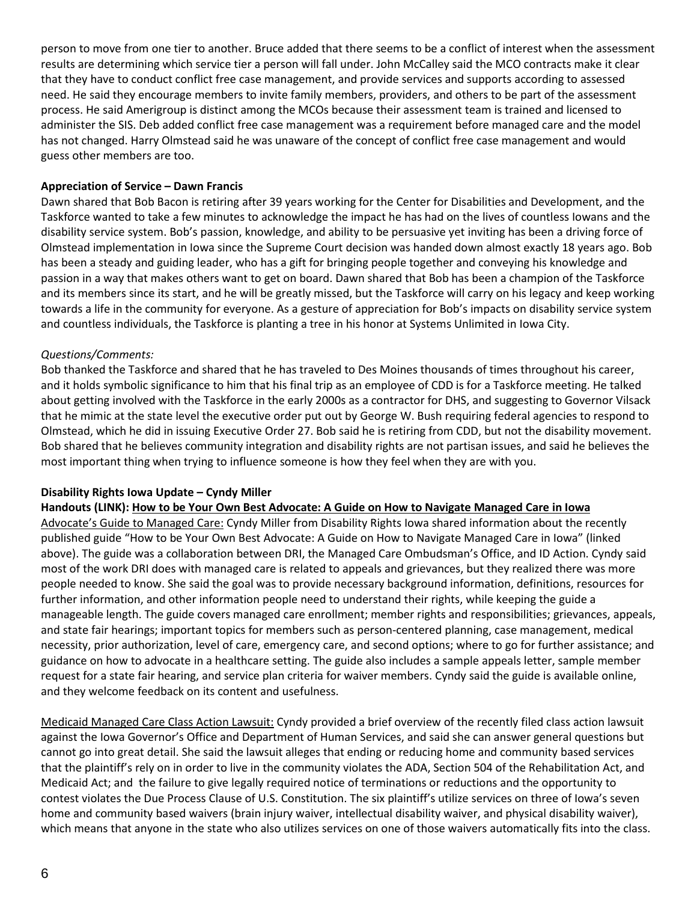person to move from one tier to another. Bruce added that there seems to be a conflict of interest when the assessment results are determining which service tier a person will fall under. John McCalley said the MCO contracts make it clear that they have to conduct conflict free case management, and provide services and supports according to assessed need. He said they encourage members to invite family members, providers, and others to be part of the assessment process. He said Amerigroup is distinct among the MCOs because their assessment team is trained and licensed to administer the SIS. Deb added conflict free case management was a requirement before managed care and the model has not changed. Harry Olmstead said he was unaware of the concept of conflict free case management and would guess other members are too.

## **Appreciation of Service – Dawn Francis**

Dawn shared that Bob Bacon is retiring after 39 years working for the Center for Disabilities and Development, and the Taskforce wanted to take a few minutes to acknowledge the impact he has had on the lives of countless Iowans and the disability service system. Bob's passion, knowledge, and ability to be persuasive yet inviting has been a driving force of Olmstead implementation in Iowa since the Supreme Court decision was handed down almost exactly 18 years ago. Bob has been a steady and guiding leader, who has a gift for bringing people together and conveying his knowledge and passion in a way that makes others want to get on board. Dawn shared that Bob has been a champion of the Taskforce and its members since its start, and he will be greatly missed, but the Taskforce will carry on his legacy and keep working towards a life in the community for everyone. As a gesture of appreciation for Bob's impacts on disability service system and countless individuals, the Taskforce is planting a tree in his honor at Systems Unlimited in Iowa City.

# *Questions/Comments:*

Bob thanked the Taskforce and shared that he has traveled to Des Moines thousands of times throughout his career, and it holds symbolic significance to him that his final trip as an employee of CDD is for a Taskforce meeting. He talked about getting involved with the Taskforce in the early 2000s as a contractor for DHS, and suggesting to Governor Vilsack that he mimic at the state level the executive order put out by George W. Bush requiring federal agencies to respond to Olmstead, which he did in issuing Executive Order 27. Bob said he is retiring from CDD, but not the disability movement. Bob shared that he believes community integration and disability rights are not partisan issues, and said he believes the most important thing when trying to influence someone is how they feel when they are with you.

## **Disability Rights Iowa Update – Cyndy Miller**

Handouts (LINK): How to be Your Own Best [Advocate:](https://www.iowaaging.gov/sites/default/files/library-documents/Full%20Book_Spreads.pdf) A Guide on How to Navigate Managed Care in lowa

Advocate's Guide to Managed Care: Cyndy Miller from Disability Rights Iowa shared information about the recently published guide "How to be Your Own Best Advocate: A Guide on How to Navigate Managed Care in Iowa" (linked above). The guide was a collaboration between DRI, the Managed Care Ombudsman's Office, and ID Action. Cyndy said most of the work DRI does with managed care is related to appeals and grievances, but they realized there was more people needed to know. She said the goal was to provide necessary background information, definitions, resources for further information, and other information people need to understand their rights, while keeping the guide a manageable length. The guide covers managed care enrollment; member rights and responsibilities; grievances, appeals, and state fair hearings; important topics for members such as person-centered planning, case management, medical necessity, prior authorization, level of care, emergency care, and second options; where to go for further assistance; and guidance on how to advocate in a healthcare setting. The guide also includes a sample appeals letter, sample member request for a state fair hearing, and service plan criteria for waiver members. Cyndy said the guide is available online, and they welcome feedback on its content and usefulness.

Medicaid Managed Care Class Action Lawsuit: Cyndy provided a brief overview of the recently filed class action lawsuit against the Iowa Governor's Office and Department of Human Services, and said she can answer general questions but cannot go into great detail. She said the lawsuit alleges that ending or reducing home and community based services that the plaintiff's rely on in order to live in the community violates the ADA, Section 504 of the Rehabilitation Act, and Medicaid Act; and the failure to give legally required notice of terminations or reductions and the opportunity to contest violates the Due Process Clause of U.S. Constitution. The six plaintiff's utilize services on three of Iowa's seven home and community based waivers (brain injury waiver, intellectual disability waiver, and physical disability waiver), which means that anyone in the state who also utilizes services on one of those waivers automatically fits into the class.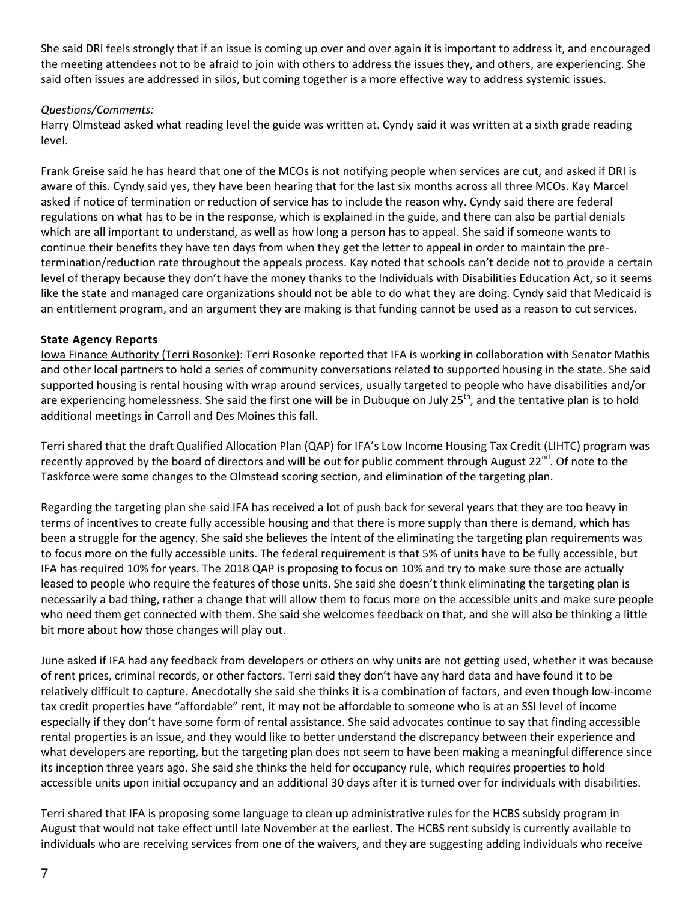She said DRI feels strongly that if an issue is coming up over and over again it is important to address it, and encouraged the meeting attendees not to be afraid to join with others to address the issues they, and others, are experiencing. She said often issues are addressed in silos, but coming together is a more effective way to address systemic issues.

# *Questions/Comments:*

Harry Olmstead asked what reading level the guide was written at. Cyndy said it was written at a sixth grade reading level.

Frank Greise said he has heard that one of the MCOs is not notifying people when services are cut, and asked if DRI is aware of this. Cyndy said yes, they have been hearing that for the last six months across all three MCOs. Kay Marcel asked if notice of termination or reduction of service has to include the reason why. Cyndy said there are federal regulations on what has to be in the response, which is explained in the guide, and there can also be partial denials which are all important to understand, as well as how long a person has to appeal. She said if someone wants to continue their benefits they have ten days from when they get the letter to appeal in order to maintain the pretermination/reduction rate throughout the appeals process. Kay noted that schools can't decide not to provide a certain level of therapy because they don't have the money thanks to the Individuals with Disabilities Education Act, so it seems like the state and managed care organizations should not be able to do what they are doing. Cyndy said that Medicaid is an entitlement program, and an argument they are making is that funding cannot be used as a reason to cut services.

# **State Agency Reports**

Iowa Finance Authority (Terri Rosonke): Terri Rosonke reported that IFA is working in collaboration with Senator Mathis and other local partners to hold a series of community conversations related to supported housing in the state. She said supported housing is rental housing with wrap around services, usually targeted to people who have disabilities and/or are experiencing homelessness. She said the first one will be in Dubuque on July 25<sup>th</sup>, and the tentative plan is to hold additional meetings in Carroll and Des Moines this fall.

Terri shared that the draft Qualified Allocation Plan (QAP) for IFA's Low Income Housing Tax Credit (LIHTC) program was recently approved by the board of directors and will be out for public comment through August 22<sup>nd</sup>. Of note to the Taskforce were some changes to the Olmstead scoring section, and elimination of the targeting plan.

Regarding the targeting plan she said IFA has received a lot of push back for several years that they are too heavy in terms of incentives to create fully accessible housing and that there is more supply than there is demand, which has been a struggle for the agency. She said she believes the intent of the eliminating the targeting plan requirements was to focus more on the fully accessible units. The federal requirement is that 5% of units have to be fully accessible, but IFA has required 10% for years. The 2018 QAP is proposing to focus on 10% and try to make sure those are actually leased to people who require the features of those units. She said she doesn't think eliminating the targeting plan is necessarily a bad thing, rather a change that will allow them to focus more on the accessible units and make sure people who need them get connected with them. She said she welcomes feedback on that, and she will also be thinking a little bit more about how those changes will play out.

June asked if IFA had any feedback from developers or others on why units are not getting used, whether it was because of rent prices, criminal records, or other factors. Terri said they don't have any hard data and have found it to be relatively difficult to capture. Anecdotally she said she thinks it is a combination of factors, and even though low-income tax credit properties have "affordable" rent, it may not be affordable to someone who is at an SSI level of income especially if they don't have some form of rental assistance. She said advocates continue to say that finding accessible rental properties is an issue, and they would like to better understand the discrepancy between their experience and what developers are reporting, but the targeting plan does not seem to have been making a meaningful difference since its inception three years ago. She said she thinks the held for occupancy rule, which requires properties to hold accessible units upon initial occupancy and an additional 30 days after it is turned over for individuals with disabilities.

Terri shared that IFA is proposing some language to clean up administrative rules for the HCBS subsidy program in August that would not take effect until late November at the earliest. The HCBS rent subsidy is currently available to individuals who are receiving services from one of the waivers, and they are suggesting adding individuals who receive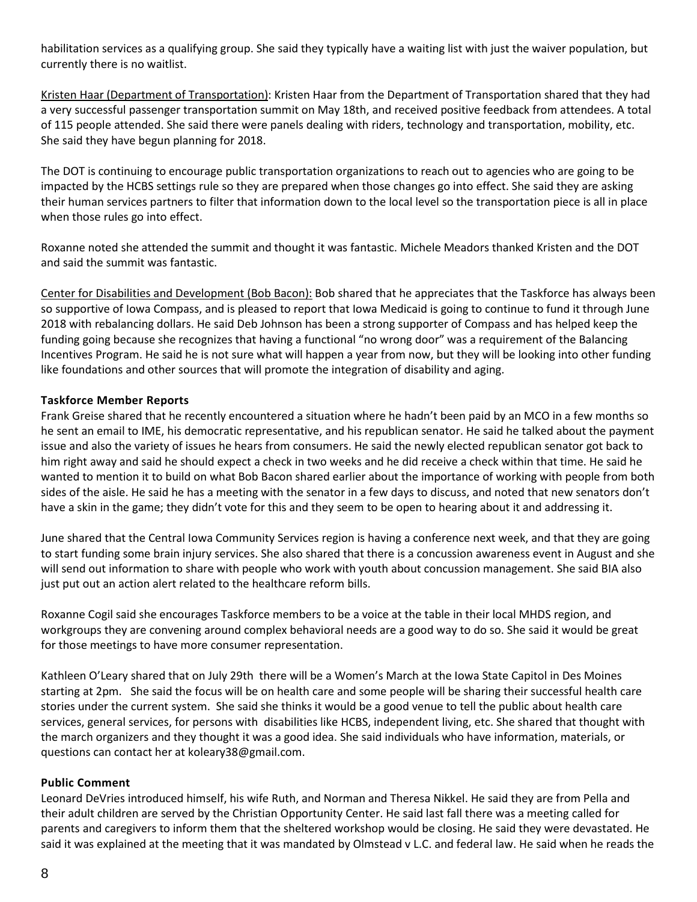habilitation services as a qualifying group. She said they typically have a waiting list with just the waiver population, but currently there is no waitlist.

Kristen Haar (Department of Transportation): Kristen Haar from the Department of Transportation shared that they had a very successful passenger transportation summit on May 18th, and received positive feedback from attendees. A total of 115 people attended. She said there were panels dealing with riders, technology and transportation, mobility, etc. She said they have begun planning for 2018.

The DOT is continuing to encourage public transportation organizations to reach out to agencies who are going to be impacted by the HCBS settings rule so they are prepared when those changes go into effect. She said they are asking their human services partners to filter that information down to the local level so the transportation piece is all in place when those rules go into effect.

Roxanne noted she attended the summit and thought it was fantastic. Michele Meadors thanked Kristen and the DOT and said the summit was fantastic.

Center for Disabilities and Development (Bob Bacon): Bob shared that he appreciates that the Taskforce has always been so supportive of Iowa Compass, and is pleased to report that Iowa Medicaid is going to continue to fund it through June 2018 with rebalancing dollars. He said Deb Johnson has been a strong supporter of Compass and has helped keep the funding going because she recognizes that having a functional "no wrong door" was a requirement of the Balancing Incentives Program. He said he is not sure what will happen a year from now, but they will be looking into other funding like foundations and other sources that will promote the integration of disability and aging.

# **Taskforce Member Reports**

Frank Greise shared that he recently encountered a situation where he hadn't been paid by an MCO in a few months so he sent an email to IME, his democratic representative, and his republican senator. He said he talked about the payment issue and also the variety of issues he hears from consumers. He said the newly elected republican senator got back to him right away and said he should expect a check in two weeks and he did receive a check within that time. He said he wanted to mention it to build on what Bob Bacon shared earlier about the importance of working with people from both sides of the aisle. He said he has a meeting with the senator in a few days to discuss, and noted that new senators don't have a skin in the game; they didn't vote for this and they seem to be open to hearing about it and addressing it.

June shared that the Central Iowa Community Services region is having a conference next week, and that they are going to start funding some brain injury services. She also shared that there is a concussion awareness event in August and she will send out information to share with people who work with youth about concussion management. She said BIA also just put out an action alert related to the healthcare reform bills.

Roxanne Cogil said she encourages Taskforce members to be a voice at the table in their local MHDS region, and workgroups they are convening around complex behavioral needs are a good way to do so. She said it would be great for those meetings to have more consumer representation.

Kathleen O'Leary shared that on July 29th there will be a Women's March at the Iowa State Capitol in Des Moines starting at 2pm. She said the focus will be on health care and some people will be sharing their successful health care stories under the current system. She said she thinks it would be a good venue to tell the public about health care services, general services, for persons with disabilities like HCBS, independent living, etc. She shared that thought with the march organizers and they thought it was a good idea. She said individuals who have information, materials, or questions can contact her at koleary38@gmail.com.

## **Public Comment**

Leonard DeVries introduced himself, his wife Ruth, and Norman and Theresa Nikkel. He said they are from Pella and their adult children are served by the Christian Opportunity Center. He said last fall there was a meeting called for parents and caregivers to inform them that the sheltered workshop would be closing. He said they were devastated. He said it was explained at the meeting that it was mandated by Olmstead v L.C. and federal law. He said when he reads the